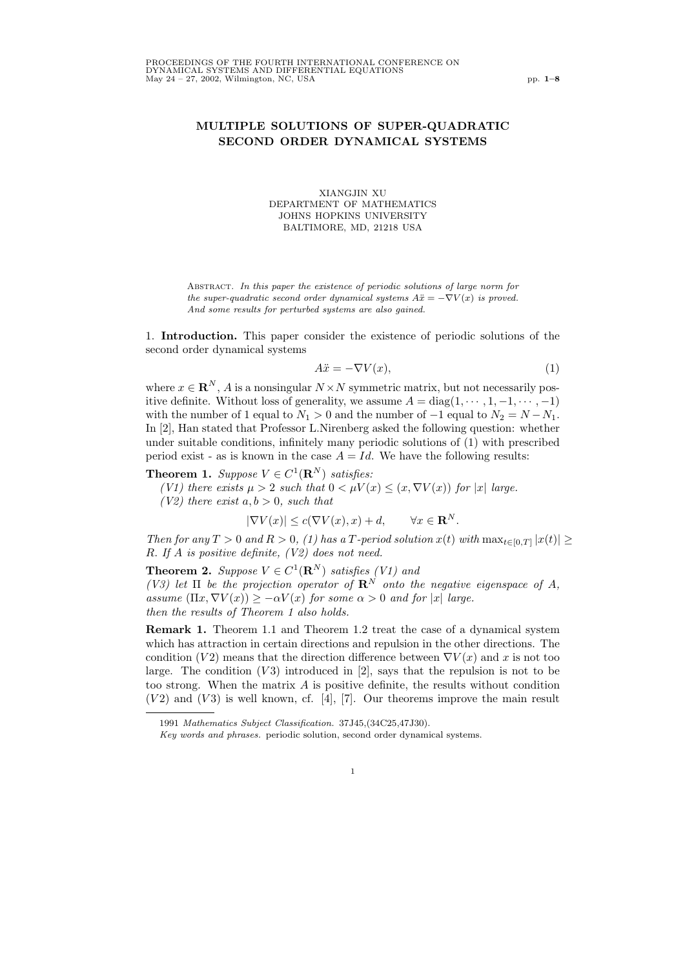## MULTIPLE SOLUTIONS OF SUPER-QUADRATIC SECOND ORDER DYNAMICAL SYSTEMS

XIANGJIN XU DEPARTMENT OF MATHEMATICS JOHNS HOPKINS UNIVERSITY BALTIMORE, MD, 21218 USA

Abstract. In this paper the existence of periodic solutions of large norm for the super-quadratic second order dynamical systems  $A\ddot{x} = -\nabla V(x)$  is proved. And some results for perturbed systems are also gained.

1. Introduction. This paper consider the existence of periodic solutions of the second order dynamical systems

$$
A\ddot{x} = -\nabla V(x),\tag{1}
$$

where  $x \in \mathbf{R}^{N}$ , A is a nonsingular  $N \times N$  symmetric matrix, but not necessarily positive definite. Without loss of generality, we assume  $A = \text{diag}(1, \dots, 1, -1, \dots, -1)$ with the number of 1 equal to  $N_1 > 0$  and the number of  $-1$  equal to  $N_2 = N - N_1$ . In [2], Han stated that Professor L.Nirenberg asked the following question: whether under suitable conditions, infinitely many periodic solutions of (1) with prescribed period exist - as is known in the case  $A = Id$ . We have the following results:

## **Theorem 1.** Suppose  $V \in C^1(\mathbf{R}^N)$  satisfies:

(V1) there exists  $\mu > 2$  such that  $0 < \mu V(x) \le (x, \nabla V(x))$  for |x| large.

(V2) there exist  $a, b > 0$ , such that

$$
|\nabla V(x)| \le c(\nabla V(x), x) + d, \qquad \forall x \in \mathbf{R}^N.
$$

Then for any  $T > 0$  and  $R > 0$ , (1) has a T-period solution  $x(t)$  with  $\max_{t \in [0,T]} |x(t)| \geq$ R. If A is positive definite, (V2) does not need.

**Theorem 2.** Suppose  $V \in C^1(\mathbf{R}^N)$  satisfies (V1) and (V3) let  $\Pi$  be the projection operator of  $\mathbb{R}^N$  onto the negative eigenspace of A, assume  $(\Pi x, \nabla V(x)) > -\alpha V(x)$  for some  $\alpha > 0$  and for |x| large. then the results of Theorem 1 also holds.

Remark 1. Theorem 1.1 and Theorem 1.2 treat the case of a dynamical system which has attraction in certain directions and repulsion in the other directions. The condition (V2) means that the direction difference between  $\nabla V(x)$  and x is not too large. The condition  $(V3)$  introduced in [2], says that the repulsion is not to be too strong. When the matrix  $A$  is positive definite, the results without condition  $(V2)$  and  $(V3)$  is well known, cf. [4], [7]. Our theorems improve the main result

1

<sup>1991</sup> Mathematics Subject Classification. 37J45,(34C25,47J30).

Key words and phrases. periodic solution, second order dynamical systems.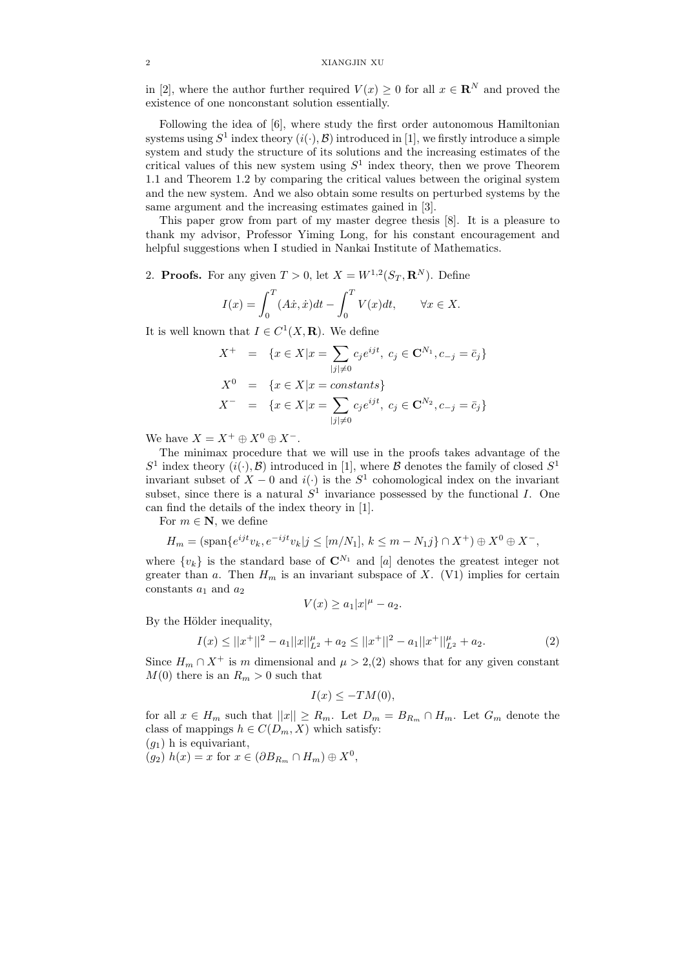in [2], where the author further required  $V(x) \geq 0$  for all  $x \in \mathbb{R}^N$  and proved the existence of one nonconstant solution essentially.

Following the idea of [6], where study the first order autonomous Hamiltonian systems using  $S^1$  index theory  $(i(\cdot), \mathcal{B})$  introduced in [1], we firstly introduce a simple system and study the structure of its solutions and the increasing estimates of the critical values of this new system using  $S<sup>1</sup>$  index theory, then we prove Theorem 1.1 and Theorem 1.2 by comparing the critical values between the original system and the new system. And we also obtain some results on perturbed systems by the same argument and the increasing estimates gained in [3].

This paper grow from part of my master degree thesis [8]. It is a pleasure to thank my advisor, Professor Yiming Long, for his constant encouragement and helpful suggestions when I studied in Nankai Institute of Mathematics.

2. **Proofs.** For any given  $T > 0$ , let  $X = W^{1,2}(S_T, \mathbb{R}^N)$ . Define

$$
I(x) = \int_0^T (A\dot{x}, \dot{x})dt - \int_0^T V(x)dt, \quad \forall x \in X.
$$

It is well known that  $I \in C^1(X, \mathbf{R})$ . We define

$$
X^{+} = \{x \in X | x = \sum_{|j| \neq 0} c_{j} e^{ijt}, \ c_{j} \in \mathbf{C}^{N_{1}}, c_{-j} = \bar{c}_{j}\}
$$
  

$$
X^{0} = \{x \in X | x = constants\}
$$
  

$$
X^{-} = \{x \in X | x = \sum_{|j| \neq 0} c_{j} e^{ijt}, \ c_{j} \in \mathbf{C}^{N_{2}}, c_{-j} = \bar{c}_{j}\}
$$

We have  $X = X^+ \oplus X^0 \oplus X^-$ .

The minimax procedure that we will use in the proofs takes advantage of the  $S^1$  index theory  $(i(\cdot), \mathcal{B})$  introduced in [1], where  $\mathcal B$  denotes the family of closed  $S^1$ invariant subset of  $X - 0$  and  $i(·)$  is the  $S<sup>1</sup>$  cohomological index on the invariant subset, since there is a natural  $S^1$  invariance possessed by the functional I. One can find the details of the index theory in [1].

For  $m \in \mathbb{N}$ , we define

$$
H_m = (\text{span}\{e^{ijt}v_k, e^{-ijt}v_k | j \leq [m/N_1], k \leq m - N_1j\} \cap X^+) \oplus X^0 \oplus X^-,
$$

where  $\{v_k\}$  is the standard base of  $\mathbb{C}^{N_1}$  and [a] denotes the greatest integer not greater than a. Then  $H_m$  is an invariant subspace of X. (V1) implies for certain constants  $a_1$  and  $a_2$ 

$$
V(x) \ge a_1 |x|^{\mu} - a_2.
$$

By the Hölder inequality,

$$
I(x) \le ||x^+||^2 - a_1||x||_{L^2}^{\mu} + a_2 \le ||x^+||^2 - a_1||x^+||_{L^2}^{\mu} + a_2.
$$
 (2)

Since  $H_m \cap X^+$  is m dimensional and  $\mu > 2$ , (2) shows that for any given constant  $M(0)$  there is an  $R_m > 0$  such that

$$
I(x) \leq -TM(0),
$$

for all  $x \in H_m$  such that  $||x|| \ge R_m$ . Let  $D_m = B_{R_m} \cap H_m$ . Let  $G_m$  denote the class of mappings  $h \in C(D_m, X)$  which satisfy:

 $(g_1)$  h is equivariant,

 $(g_2)$   $h(x) = x$  for  $x \in (\partial B_{R_m} \cap H_m) \oplus X^0$ ,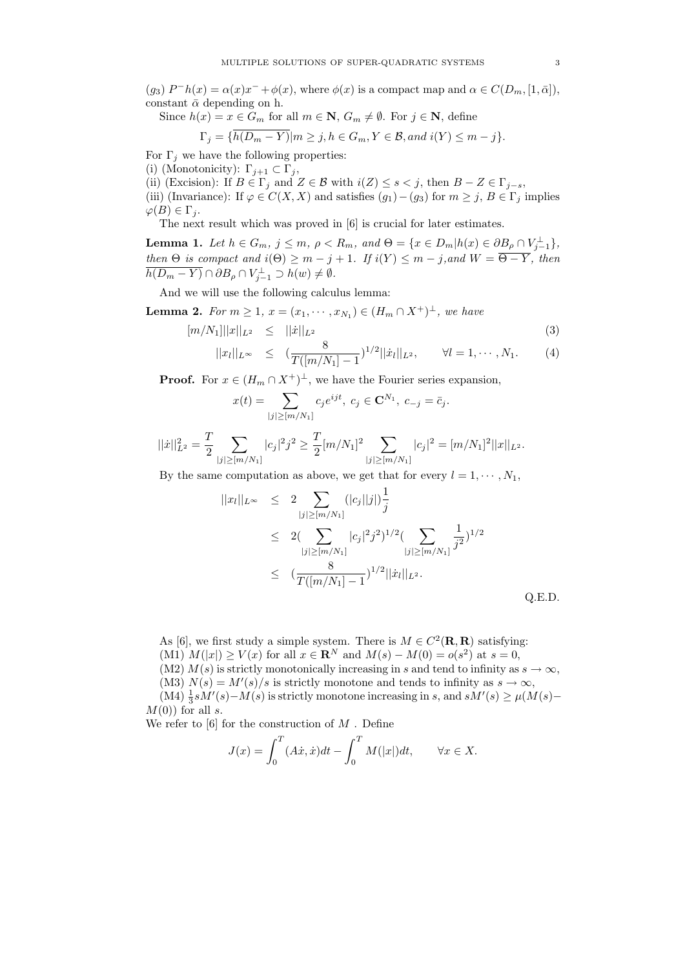(g<sub>3</sub>)  $P^-h(x) = \alpha(x)x^- + \phi(x)$ , where  $\phi(x)$  is a compact map and  $\alpha \in C(D_m, [1, \bar{\alpha}])$ , constant  $\bar{\alpha}$  depending on h.

Since  $h(x) = x \in G_m$  for all  $m \in \mathbb{N}$ ,  $G_m \neq \emptyset$ . For  $j \in \mathbb{N}$ , define

$$
\Gamma_j = \{ h(D_m - Y) | m \ge j, h \in G_m, Y \in \mathcal{B}, and \ i(Y) \le m - j \}.
$$

For  $\Gamma_j$  we have the following properties:

(i) (Monotonicity):  $\Gamma_{j+1} \subset \Gamma_j$ ,

(ii) (Excision): If  $B \in \Gamma_j$  and  $Z \in \mathcal{B}$  with  $i(Z) \leq s < j$ , then  $B - Z \in \Gamma_{j-s}$ ,

(iii) (Invariance): If  $\varphi \in C(X,X)$  and satisfies  $(g_1) - (g_3)$  for  $m \ge j, B \in \Gamma_j$  implies  $\varphi(B) \in \Gamma_i$ .

The next result which was proved in [6] is crucial for later estimates.

**Lemma 1.** Let  $h \in G_m$ ,  $j \le m$ ,  $\rho < R_m$ , and  $\Theta = \{x \in D_m | h(x) \in \partial B_\rho \cap V_{j-1}^\perp \}$ , then  $\Theta$  is compact and  $i(\Theta) \geq m - j + 1$ . If  $i(Y) \leq m - j$ , and  $W = \overline{\Theta - Y}$ , then  $\overline{h(D_m-Y)}\cap\partial B_\rho\cap V_{j-1}^\perp\supset h(w)\neq\emptyset.$ 

And we will use the following calculus lemma:

**Lemma 2.** For  $m \ge 1$ ,  $x = (x_1, \dots, x_{N_1}) \in (H_m \cap X^+)^\perp$ , we have

$$
[m/N_1]| |x||_{L^2} \leq ||\dot{x}||_{L^2}
$$
 (3)

$$
||x_l||_{L^{\infty}} \leq (\frac{8}{T([m/N_1]-1})^{1/2}||\dot{x}_l||_{L^2}, \qquad \forall l=1,\cdots,N_1.
$$
 (4)

**Proof.** For  $x \in (H_m \cap X^+)^\perp$ , we have the Fourier series expansion,

$$
x(t) = \sum_{|j| \ge [m/N_1]} c_j e^{ijt}, \ c_j \in \mathbf{C}^{N_1}, \ c_{-j} = \bar{c}_j.
$$

$$
||\dot{x}||_{L^2}^2 = \frac{T}{2} \sum_{|j| \ge [m/N_1]} |c_j|^2 j^2 \ge \frac{T}{2} [m/N_1]^2 \sum_{|j| \ge [m/N_1]} |c_j|^2 = [m/N_1]^2 ||x||_{L^2}.
$$

By the same computation as above, we get that for every  $l = 1, \dots, N_1$ ,

$$
||x_{l}||_{L^{\infty}} \leq 2 \sum_{|j| \geq [m/N_1]} (|c_j||j|)^{\frac{1}{j}} \n\leq 2(\sum_{|j| \geq [m/N_1]} |c_j|^2 j^2)^{1/2} (\sum_{|j| \geq [m/N_1]} \frac{1}{j^2})^{1/2} \n\leq (\frac{8}{T([m/N_1]-1})^{1/2} ||x_{l}||_{L^2}.
$$
\nQ.E.D.

As [6], we first study a simple system. There is  $M \in C^2(\mathbf{R}, \mathbf{R})$  satisfying: (M1)  $M(|x|) \ge V(x)$  for all  $x \in \mathbb{R}^N$  and  $M(s) - M(0) = o(s^2)$  at  $s = 0$ ,

(M2)  $M(s)$  is strictly monotonically increasing in s and tend to infinity as  $s \to \infty$ ,

(M3)  $N(s) = M'(s)/s$  is strictly monotone and tends to infinity as  $s \to \infty$ ,

(M4)  $\frac{1}{3} s M'(s) - M(s)$  is strictly monotone increasing in s, and  $s M'(s) \ge \mu(M(s) M(0)$  for all s.

We refer to  $[6]$  for the construction of  $M$ . Define

$$
J(x) = \int_0^T (A\dot{x}, \dot{x})dt - \int_0^T M(|x|)dt, \quad \forall x \in X.
$$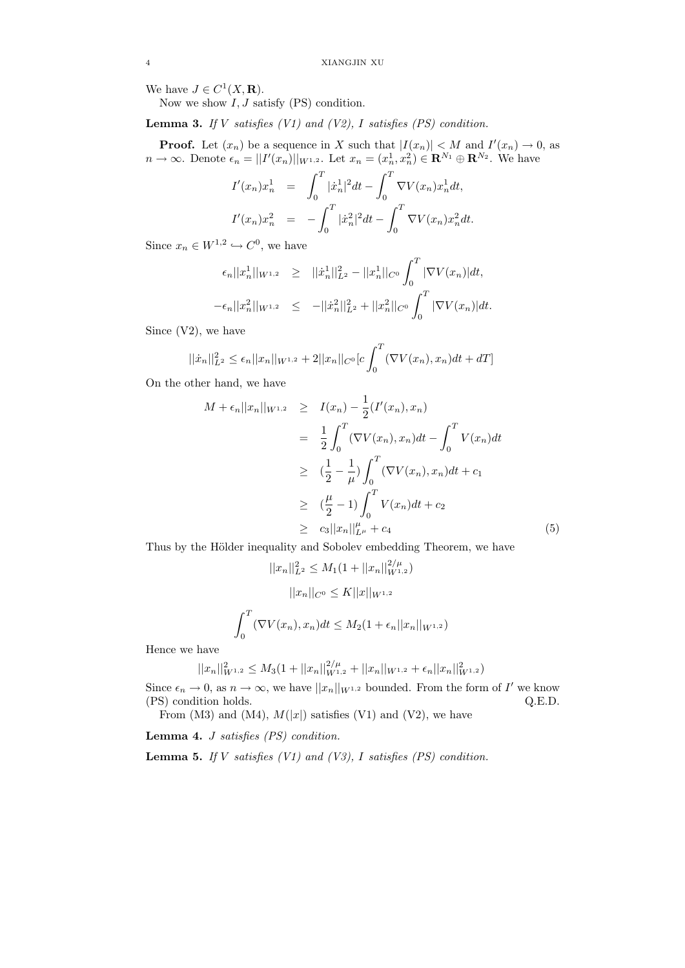We have  $J \in C^1(X, \mathbf{R})$ .

Now we show  $I, J$  satisfy (PS) condition.

**Lemma 3.** If V satisfies  $(V1)$  and  $(V2)$ , I satisfies  $(PS)$  condition.

**Proof.** Let  $(x_n)$  be a sequence in X such that  $|I(x_n)| < M$  and  $I'(x_n) \to 0$ , as  $n \to \infty$ . Denote  $\epsilon_n = ||I'(x_n)||_{W^{1,2}}$ . Let  $x_n = (x_n^1, x_n^2) \in \mathbf{R}^{N_1} \oplus \mathbf{R}^{N_2}$ . We have

$$
I'(x_n)x_n^1 = \int_0^T |\dot{x}_n^1|^2 dt - \int_0^T \nabla V(x_n)x_n^1 dt,
$$
  

$$
I'(x_n)x_n^2 = -\int_0^T |\dot{x}_n^2|^2 dt - \int_0^T \nabla V(x_n)x_n^2 dt.
$$

Since  $x_n \in W^{1,2} \hookrightarrow C^0$ , we have

$$
\epsilon_n ||x_n^1||_{W^{1,2}} \ge ||\dot{x}_n^1||_{L^2}^2 - ||x_n^1||_{C^0} \int_0^T |\nabla V(x_n)| dt,
$$
  

$$
-\epsilon_n ||x_n^2||_{W^{1,2}} \le -||\dot{x}_n^2||_{L^2}^2 + ||x_n^2||_{C^0} \int_0^T |\nabla V(x_n)| dt.
$$

Since (V2), we have

$$
||\dot{x}_n||_{L^2}^2 \le \epsilon_n ||x_n||_{W^{1,2}} + 2||x_n||_{C^0}[c\int_0^T (\nabla V(x_n), x_n)dt + dT]
$$

On the other hand, we have

$$
M + \epsilon_n ||x_n||_{W^{1,2}} \geq I(x_n) - \frac{1}{2} (I'(x_n), x_n)
$$
  
\n
$$
= \frac{1}{2} \int_0^T (\nabla V(x_n), x_n) dt - \int_0^T V(x_n) dt
$$
  
\n
$$
\geq (\frac{1}{2} - \frac{1}{\mu}) \int_0^T (\nabla V(x_n), x_n) dt + c_1
$$
  
\n
$$
\geq (\frac{\mu}{2} - 1) \int_0^T V(x_n) dt + c_2
$$
  
\n
$$
\geq c_3 ||x_n||_{L^{\mu}}^{\mu} + c_4
$$
 (5)

Thus by the Hölder inequality and Sobolev embedding Theorem, we have

$$
||x_n||_{L^2}^2 \le M_1(1 + ||x_n||_{W^{1,2}}^{2/\mu})
$$

$$
||x_n||_{C^0} \le K||x||_{W^{1,2}}
$$

$$
\int_0^T (\nabla V(x_n), x_n) dt \le M_2(1 + \epsilon_n ||x_n||_{W^{1,2}})
$$

Hence we have

$$
||x_n||_{W^{1,2}}^2 \le M_3(1+||x_n||_{W^{1,2}}^{2/\mu} + ||x_n||_{W^{1,2}} + \epsilon_n ||x_n||_{W^{1,2}}^2)
$$

Since  $\epsilon_n \to 0$ , as  $n \to \infty$ , we have  $||x_n||_{W^{1,2}}$  bounded. From the form of I' we know (PS) condition holds. Q.E.D.

From (M3) and (M4),  $M(|x|)$  satisfies (V1) and (V2), we have

**Lemma 4.** *J satisfies (PS) condition.* 

**Lemma 5.** If V satisfies  $(V1)$  and  $(V3)$ , I satisfies  $(PS)$  condition.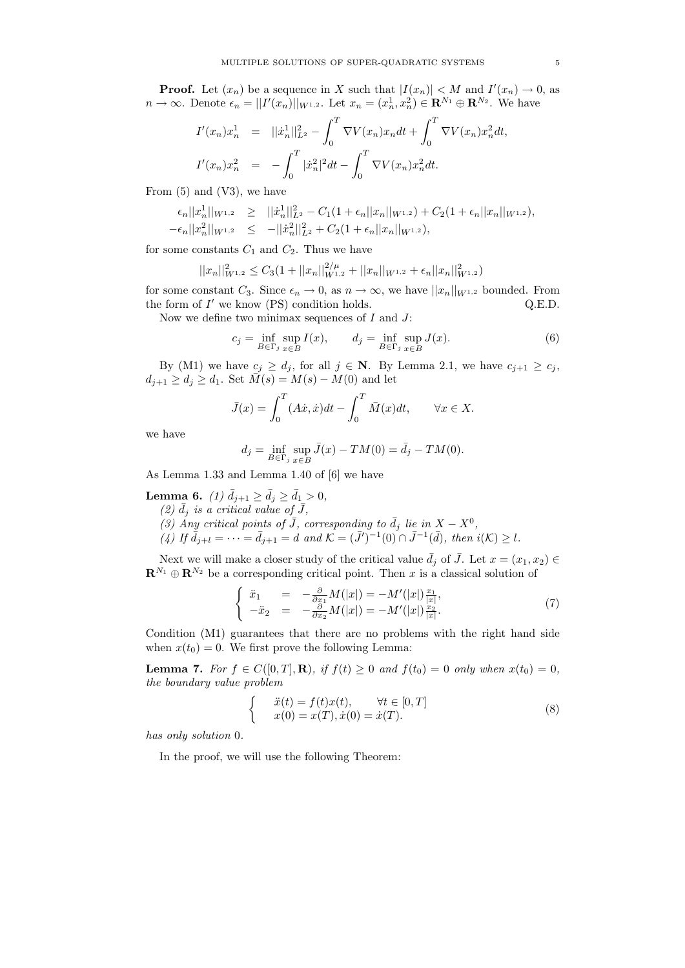**Proof.** Let  $(x_n)$  be a sequence in X such that  $|I(x_n)| < M$  and  $I'(x_n) \to 0$ , as  $n \to \infty$ . Denote  $\epsilon_n = ||I'(x_n)||_{W^{1,2}}$ . Let  $x_n = (x_n^1, x_n^2) \in \mathbf{R}^{N_1} \oplus \mathbf{R}^{N_2}$ . We have

$$
I'(x_n)x_n^1 = ||\dot{x}_n^1||_{L^2}^2 - \int_0^T \nabla V(x_n)x_n dt + \int_0^T \nabla V(x_n)x_n^2 dt,
$$
  

$$
I'(x_n)x_n^2 = -\int_0^T |\dot{x}_n^2|^2 dt - \int_0^T \nabla V(x_n)x_n^2 dt.
$$

From (5) and (V3), we have

$$
\begin{array}{rcl}\n\epsilon_n||x_n||_{W^{1,2}} & \geq & ||\dot{x}_n||_{L^2}^2 - C_1(1 + \epsilon_n||x_n||_{W^{1,2}}) + C_2(1 + \epsilon_n||x_n||_{W^{1,2}}), \\
-\epsilon_n||x_n^2||_{W^{1,2}} & \leq & -||\dot{x}_n^2||_{L^2}^2 + C_2(1 + \epsilon_n||x_n||_{W^{1,2}}),\n\end{array}
$$

for some constants  $C_1$  and  $C_2$ . Thus we have

$$
||x_n||_{W^{1,2}}^2 \leq C_3(1+||x_n||_{W^{1,2}}^2+||x_n||_{W^{1,2}}+\epsilon_n||x_n||_{W^{1,2}}^2)
$$

for some constant  $C_3$ . Since  $\epsilon_n \to 0$ , as  $n \to \infty$ , we have  $||x_n||_{W^{1,2}}$  bounded. From the form of  $I'$  we know  $(PS)$  condition holds.  $Q.E.D.$ 

Now we define two minimax sequences of  $I$  and  $J$ :

$$
c_j = \inf_{B \in \Gamma_j} \sup_{x \in B} I(x), \qquad d_j = \inf_{B \in \Gamma_j} \sup_{x \in B} J(x). \tag{6}
$$

By (M1) we have  $c_j \geq d_j$ , for all  $j \in \mathbb{N}$ . By Lemma 2.1, we have  $c_{j+1} \geq c_j$ ,  $d_{j+1} \geq d_j \geq d_1$ . Set  $\overline{M}(s) = M(s) - M(0)$  and let

$$
\bar{J}(x) = \int_0^T (A\dot{x}, \dot{x})dt - \int_0^T \bar{M}(x)dt, \quad \forall x \in X.
$$

we have

$$
d_j = \inf_{B \in \Gamma_j} \sup_{x \in B} \bar{J}(x) - TM(0) = \bar{d}_j - TM(0).
$$

As Lemma 1.33 and Lemma 1.40 of [6] we have

**Lemma 6.** (1)  $\bar{d}_{j+1} \ge \bar{d}_j \ge \bar{d}_1 > 0$ ,

- (2)  $\bar{d}_j$  is a critical value of  $\bar{J}$ ,
- (3) Any critical points of  $\overline{J}$ , corresponding to  $\overline{d}_j$  lie in  $X X^0$ ,

 $(A)$  If  $\bar{d}_{j+l} = \cdots = \bar{d}_{j+1} = d$  and  $\mathcal{K} = (\bar{J}^{\prime})^{-1}(0) \cap \bar{J}^{-1}(\bar{d}),$  then  $i(\mathcal{K}) \geq l$ .

Next we will make a closer study of the critical value  $\bar{d}_i$  of  $\bar{J}$ . Let  $x = (x_1, x_2) \in$  $\mathbf{R}^{N_1} \oplus \mathbf{R}^{N_2}$  be a corresponding critical point. Then x is a classical solution of

$$
\begin{cases}\n\ddot{x}_1 = -\frac{\partial}{\partial x_1} M(|x|) = -M'(|x|) \frac{x_1}{|x|},\\
-\ddot{x}_2 = -\frac{\partial}{\partial x_2} M(|x|) = -M'(|x|) \frac{x_2}{|x|}.\n\end{cases} (7)
$$

Condition (M1) guarantees that there are no problems with the right hand side when  $x(t_0) = 0$ . We first prove the following Lemma:

**Lemma 7.** For  $f \in C([0,T],\mathbf{R})$ , if  $f(t) \geq 0$  and  $f(t_0) = 0$  only when  $x(t_0) = 0$ , the boundary value problem

$$
\begin{cases}\n\ddot{x}(t) = f(t)x(t), & \forall t \in [0, T] \\
x(0) = x(T), \dot{x}(0) = \dot{x}(T).\n\end{cases}
$$
\n(8)

has only solution 0.

In the proof, we will use the following Theorem: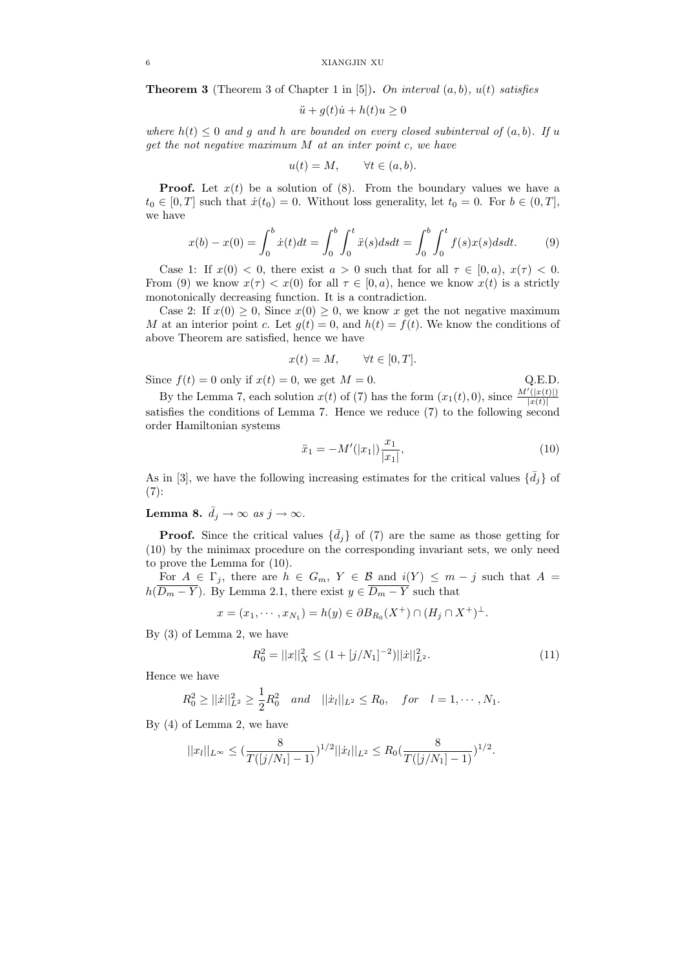**Theorem 3** (Theorem 3 of Chapter 1 in [5]). On interval  $(a, b)$ ,  $u(t)$  satisfies

$$
\ddot{u} + g(t)\dot{u} + h(t)u \ge 0
$$

where  $h(t) \leq 0$  and g and h are bounded on every closed subinterval of  $(a, b)$ . If u get the not negative maximum M at an inter point c, we have

$$
u(t) = M, \qquad \forall t \in (a, b).
$$

**Proof.** Let  $x(t)$  be a solution of (8). From the boundary values we have a  $t_0 \in [0, T]$  such that  $\dot{x}(t_0) = 0$ . Without loss generality, let  $t_0 = 0$ . For  $b \in (0, T]$ , we have

$$
x(b) - x(0) = \int_0^b \dot{x}(t)dt = \int_0^b \int_0^t \ddot{x}(s)dsdt = \int_0^b \int_0^t f(s)x(s)dsdt.
$$
 (9)

Case 1: If  $x(0) < 0$ , there exist  $a > 0$  such that for all  $\tau \in [0, a)$ ,  $x(\tau) < 0$ . From (9) we know  $x(\tau) < x(0)$  for all  $\tau \in [0, a)$ , hence we know  $x(t)$  is a strictly monotonically decreasing function. It is a contradiction.

Case 2: If  $x(0) \geq 0$ , Since  $x(0) \geq 0$ , we know x get the not negative maximum M at an interior point c. Let  $g(t) = 0$ , and  $h(t) = f(t)$ . We know the conditions of above Theorem are satisfied, hence we have

$$
x(t) = M, \qquad \forall t \in [0, T].
$$

Since  $f(t) = 0$  only if  $x(t) = 0$ , we get  $M = 0$ . Q.E.D.

By the Lemma 7, each solution  $x(t)$  of (7) has the form  $(x_1(t), 0)$ , since  $\frac{M'(x(t))}{|x(t)|}$  $|x(t)|$ satisfies the conditions of Lemma 7. Hence we reduce  $(7)$  to the following second order Hamiltonian systems

$$
\ddot{x}_1 = -M'(|x_1|) \frac{x_1}{|x_1|},\tag{10}
$$

As in [3], we have the following increasing estimates for the critical values  $\{\bar{d}_j\}$  of  $(7):$ 

**Lemma 8.**  $\bar{d}_j \rightarrow \infty$  as  $j \rightarrow \infty$ .

**Proof.** Since the critical values  $\{\bar{d}_j\}$  of (7) are the same as those getting for (10) by the minimax procedure on the corresponding invariant sets, we only need to prove the Lemma for (10).

For  $A \in \Gamma_j$ , there are  $h \in G_m$ ,  $Y \in \mathcal{B}$  and  $i(Y) \leq m - j$  such that  $A =$  $h(\overline{D_m - Y})$ . By Lemma 2.1, there exist  $y \in \overline{D_m - Y}$  such that

$$
x = (x_1, \dots, x_{N_1}) = h(y) \in \partial B_{R_0}(X^+) \cap (H_j \cap X^+)^\perp.
$$

By (3) of Lemma 2, we have

$$
R_0^2 = ||x||_X^2 \le (1 + [j/N_1]^{-2}) ||\dot{x}||_{L^2}^2.
$$
 (11)

Hence we have

$$
R_0^2 \ge ||\dot{x}||_{L^2}^2 \ge \frac{1}{2}R_0^2
$$
 and  $||\dot{x}_l||_{L^2} \le R_0$ , for  $l = 1, \dots, N_1$ .

By (4) of Lemma 2, we have

$$
||x_l||_{L^{\infty}} \leq \left(\frac{8}{T([j/N_1]-1)}\right)^{1/2}||\dot{x}_l||_{L^2} \leq R_0\left(\frac{8}{T([j/N_1]-1)}\right)^{1/2}.
$$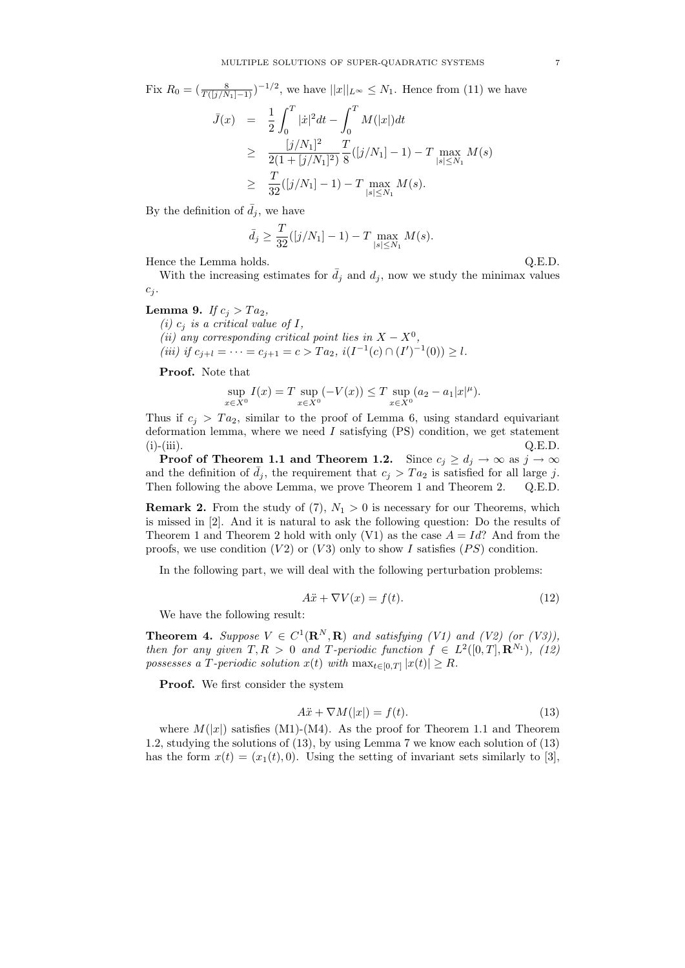Fix  $R_0 = (\frac{8}{T(\lfloor j/N_1 \rfloor - 1)})^{-1/2}$ , we have  $||x||_{L^{\infty}} \leq N_1$ . Hence from (11) we have

$$
\bar{J}(x) = \frac{1}{2} \int_0^T |\dot{x}|^2 dt - \int_0^T M(|x|) dt
$$
\n
$$
\geq \frac{[j/N_1]^2}{2(1 + [j/N_1]^2)} \frac{T}{8} ([j/N_1] - 1) - T \max_{|s| \leq N_1} M(s)
$$
\n
$$
\geq \frac{T}{32} ([j/N_1] - 1) - T \max_{|s| \leq N_1} M(s).
$$

By the definition of  $\bar{d}_j$ , we have

$$
\bar{d}_{j} \ge \frac{T}{32}([j/N_1] - 1) - T \max_{|s| \le N_1} M(s).
$$

Hence the Lemma holds.  $Q.E.D.$ 

With the increasing estimates for  $\bar{d}_i$  and  $d_i$ , now we study the minimax values  $c_j$ .

## Lemma 9. If  $c_j > Ta_2$ ,

(i)  $c_i$  is a critical value of I, (ii) any corresponding critical point lies in  $X - X^0$ , (iii) if  $c_{j+l} = \cdots = c_{j+1} = c > Ta_2$ ,  $i(I^{-1}(c) \cap (I')^{-1}(0)) \ge l$ .

Proof. Note that

$$
\sup_{x \in X^0} I(x) = T \sup_{x \in X^0} (-V(x)) \le T \sup_{x \in X^0} (a_2 - a_1 |x|^{\mu}).
$$

Thus if  $c_j > Ta_2$ , similar to the proof of Lemma 6, using standard equivariant deformation lemma, where we need  $I$  satisfying  $(PS)$  condition, we get statement (i)-(iii).  $Q.E.D.$ 

**Proof of Theorem 1.1 and Theorem 1.2.** Since  $c_i \geq d_i \to \infty$  as  $j \to \infty$ and the definition of  $\bar{d}_i$ , the requirement that  $c_i > Ta_2$  is satisfied for all large j. Then following the above Lemma, we prove Theorem 1 and Theorem 2. Q.E.D.

**Remark 2.** From the study of (7),  $N_1 > 0$  is necessary for our Theorems, which is missed in [2]. And it is natural to ask the following question: Do the results of Theorem 1 and Theorem 2 hold with only (V1) as the case  $A = Id$ ? And from the proofs, we use condition  $(V2)$  or  $(V3)$  only to show I satisfies  $(PS)$  condition.

In the following part, we will deal with the following perturbation problems:

$$
A\ddot{x} + \nabla V(x) = f(t). \tag{12}
$$

We have the following result:

**Theorem 4.** Suppose  $V \in C^1(\mathbf{R}^N, \mathbf{R})$  and satisfying (V1) and (V2) (or (V3)), then for any given  $T, R > 0$  and T-periodic function  $f \in L^2([0, T], \mathbf{R}^{N_1})$ , (12) possesses a T-periodic solution  $x(t)$  with  $\max_{t \in [0,T]} |x(t)| \geq R$ .

Proof. We first consider the system

$$
A\ddot{x} + \nabla M(|x|) = f(t). \tag{13}
$$

where  $M(|x|)$  satisfies (M1)-(M4). As the proof for Theorem 1.1 and Theorem 1.2, studying the solutions of (13), by using Lemma 7 we know each solution of (13) has the form  $x(t) = (x_1(t), 0)$ . Using the setting of invariant sets similarly to [3],